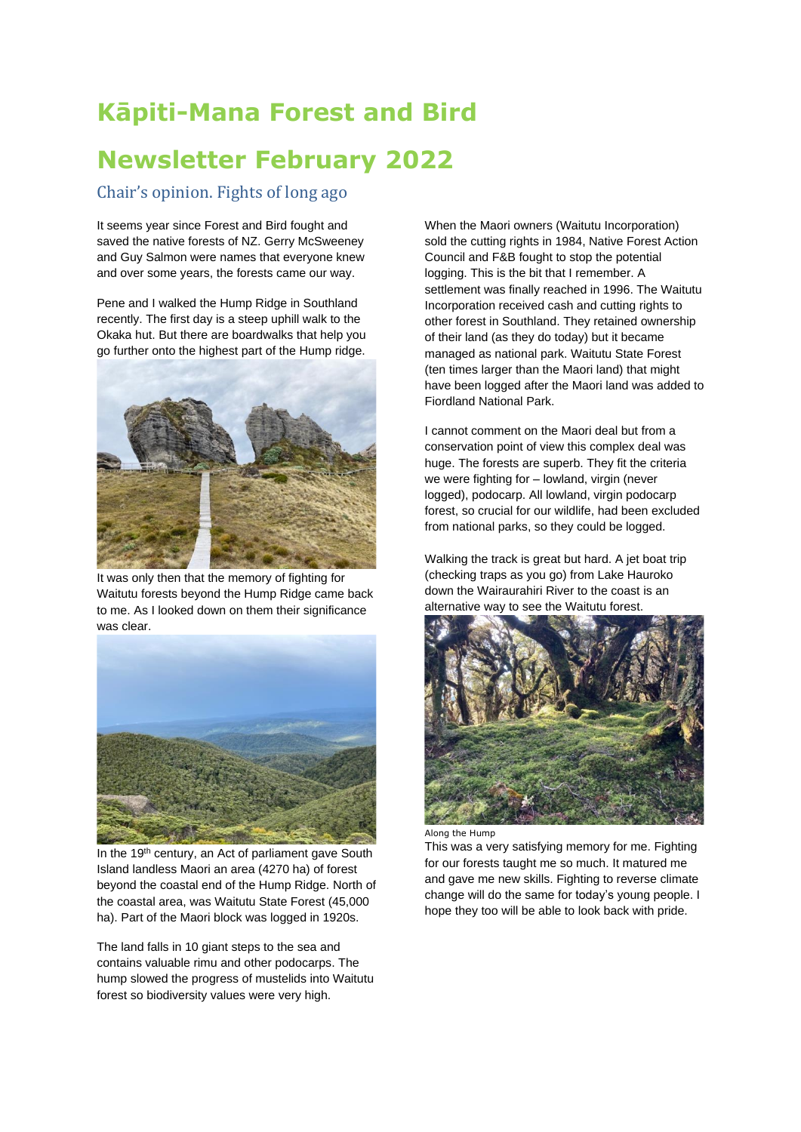# **Kāpiti-Mana Forest and Bird**

# **Newsletter February 2022**

# Chair's opinion. Fights of long ago

It seems year since Forest and Bird fought and saved the native forests of NZ. Gerry McSweeney and Guy Salmon were names that everyone knew and over some years, the forests came our way.

Pene and I walked the Hump Ridge in Southland recently. The first day is a steep uphill walk to the Okaka hut. But there are boardwalks that help you go further onto the highest part of the Hump ridge.



It was only then that the memory of fighting for Waitutu forests beyond the Hump Ridge came back to me. As I looked down on them their significance was clear.



In the 19<sup>th</sup> century, an Act of parliament gave South Island landless Maori an area (4270 ha) of forest beyond the coastal end of the Hump Ridge. North of the coastal area, was Waitutu State Forest (45,000 ha). Part of the Maori block was logged in 1920s.

The land falls in 10 giant steps to the sea and contains valuable rimu and other podocarps. The hump slowed the progress of mustelids into Waitutu forest so biodiversity values were very high.

When the Maori owners (Waitutu Incorporation) sold the cutting rights in 1984, Native Forest Action Council and F&B fought to stop the potential logging. This is the bit that I remember. A settlement was finally reached in 1996. The Waitutu Incorporation received cash and cutting rights to other forest in Southland. They retained ownership of their land (as they do today) but it became managed as national park. Waitutu State Forest (ten times larger than the Maori land) that might have been logged after the Maori land was added to Fiordland National Park.

I cannot comment on the Maori deal but from a conservation point of view this complex deal was huge. The forests are superb. They fit the criteria we were fighting for – lowland, virgin (never logged), podocarp. All lowland, virgin podocarp forest, so crucial for our wildlife, had been excluded from national parks, so they could be logged.

Walking the track is great but hard. A jet boat trip (checking traps as you go) from Lake Hauroko down the Wairaurahiri River to the coast is an alternative way to see the Waitutu forest.



Along the Hump

This was a very satisfying memory for me. Fighting for our forests taught me so much. It matured me and gave me new skills. Fighting to reverse climate change will do the same for today's young people. I hope they too will be able to look back with pride.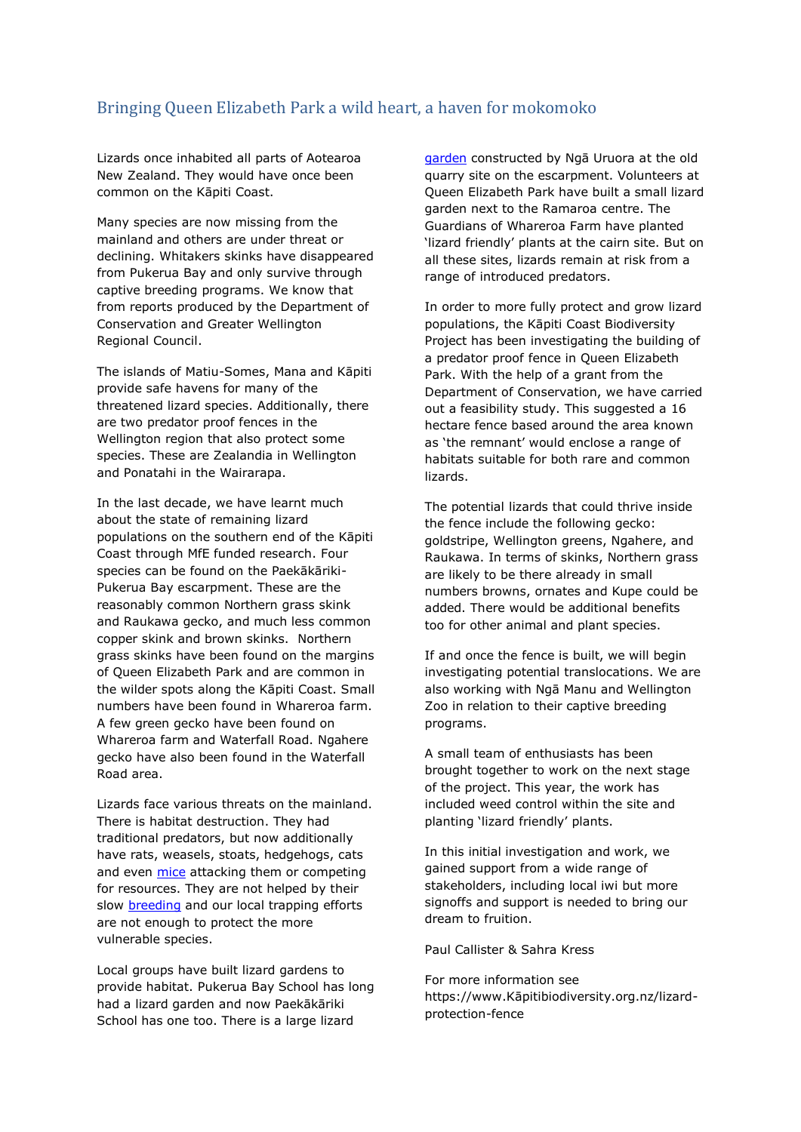# Bringing Queen Elizabeth Park a wild heart, a haven for mokomoko

Lizards once inhabited all parts of Aotearoa New Zealand. They would have once been common on the Kāpiti Coast.

Many species are now missing from the mainland and others are under threat or declining. Whitakers skinks have disappeared from Pukerua Bay and only survive through captive breeding programs. We know that from reports produced by the Department of Conservation and Greater Wellington Regional Council.

The islands of Matiu-Somes, Mana and Kāpiti provide safe havens for many of the threatened lizard species. Additionally, there are two predator proof fences in the Wellington region that also protect some species. These are Zealandia in Wellington and Ponatahi in the Wairarapa.

In the last decade, we have learnt much about the state of remaining lizard populations on the southern end of the Kāpiti Coast through MfE funded research. Four species can be found on the Paekākāriki-Pukerua Bay escarpment. These are the reasonably common Northern grass skink and Raukawa gecko, and much less common copper skink and brown skinks. Northern grass skinks have been found on the margins of Queen Elizabeth Park and are common in the wilder spots along the Kāpiti Coast. Small numbers have been found in Whareroa farm. A few green gecko have been found on Whareroa farm and Waterfall Road. Ngahere gecko have also been found in the Waterfall Road area.

Lizards face various threats on the mainland. There is habitat destruction. They had traditional predators, but now additionally have rats, weasels, stoats, hedgehogs, cats and even [mice](https://www.nzgeo.com/stories/the-tale-of-the-hungry-mouse/) attacking them or competing for resources. They are not helped by their slow [breeding](https://kapitibush.org.nz/2021/08/31/lizard-fertility-and-reproduction/) and our local trapping efforts are not enough to protect the more vulnerable species.

Local groups have built lizard gardens to provide habitat. Pukerua Bay School has long had a lizard garden and now Paekākāriki School has one too. There is a large lizard

[garden](https://www.rnz.co.nz/national/programmes/summer-days/audio/2018677854/kapiti-lizards-research) constructed by Ngā Uruora at the old quarry site on the escarpment. Volunteers at Queen Elizabeth Park have built a small lizard garden next to the Ramaroa centre. The Guardians of Whareroa Farm have planted 'lizard friendly' plants at the cairn site. But on all these sites, lizards remain at risk from a range of introduced predators.

In order to more fully protect and grow lizard populations, the Kāpiti Coast Biodiversity Project has been investigating the building of a predator proof fence in Queen Elizabeth Park. With the help of a grant from the Department of Conservation, we have carried out a feasibility study. This suggested a 16 hectare fence based around the area known as 'the remnant' would enclose a range of habitats suitable for both rare and common lizards.

The potential lizards that could thrive inside the fence include the following gecko: goldstripe, Wellington greens, Ngahere, and Raukawa. In terms of skinks, Northern grass are likely to be there already in small numbers browns, ornates and Kupe could be added. There would be additional benefits too for other animal and plant species.

If and once the fence is built, we will begin investigating potential translocations. We are also working with Ngā Manu and Wellington Zoo in relation to their captive breeding programs.

A small team of enthusiasts has been brought together to work on the next stage of the project. This year, the work has included weed control within the site and planting 'lizard friendly' plants.

In this initial investigation and work, we gained support from a wide range of stakeholders, including local iwi but more signoffs and support is needed to bring our dream to fruition.

Paul Callister & Sahra Kress

For more information see https://www.Kāpitibiodiversity.org.nz/lizardprotection-fence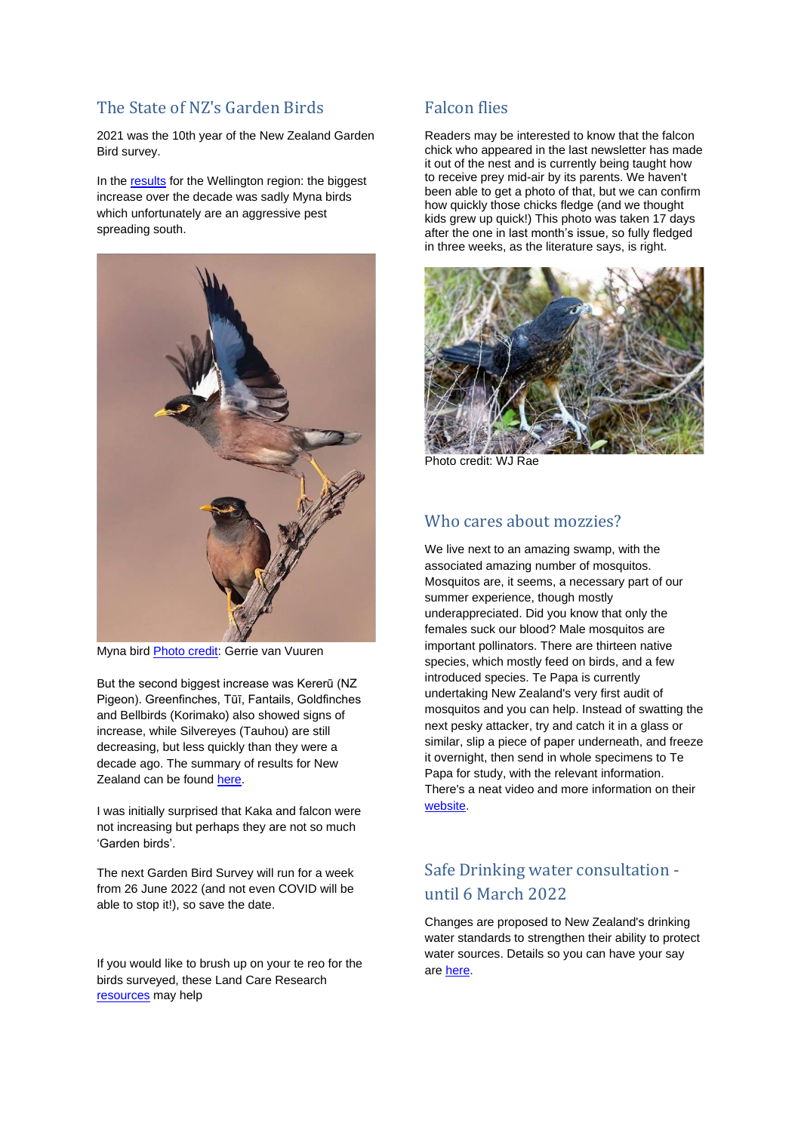# The State of NZ's Garden Birds

2021 was the 10th year of the New Zealand Garden Bird survey.

In the [results](https://gardenbirdsurvey.landcareresearch.co.nz/uploads/1/1/5/9/115962649/nzgbs2019_regionalreport_wellington.pdf) for the Wellington region: the biggest increase over the decade was sadly Myna birds which unfortunately are an aggressive pest spreading south.



Myna bird [Photo credit:](https://commons.wikimedia.org/wiki/File:Acridotheres_tristis00.jpg) Gerrie van Vuuren

But the second biggest increase was Kererū (NZ Pigeon). Greenfinches, Tūī, Fantails, Goldfinches and Bellbirds (Korimako) also showed signs of increase, while Silvereyes (Tauhou) are still decreasing, but less quickly than they were a decade ago. The summary of results for New Zealand can be found [here.](https://gardenbirdsurvey.landcareresearch.co.nz/uploads/1/1/5/9/115962649/nzgbs2021_nationalreport.pdf)

I was initially surprised that Kaka and falcon were not increasing but perhaps they are not so much 'Garden birds'.

The next Garden Bird Survey will run for a week from 26 June 2022 (and not even COVID will be able to stop it!), so save the date.

If you would like to brush up on your te reo for the birds surveyed, these Land Care Research [resources](https://gardenbirdsurvey.landcareresearch.co.nz/maori_resources.html) may help

#### Falcon flies

Readers may be interested to know that the falcon chick who appeared in the last newsletter has made it out of the nest and is currently being taught how to receive prey mid-air by its parents. We haven't been able to get a photo of that, but we can confirm how quickly those chicks fledge (and we thought kids grew up quick!) This photo was taken 17 days after the one in last month's issue, so fully fledged in three weeks, as the literature says, is right.



Photo credit: WJ Rae

#### Who cares about mozzies?

We live next to an amazing swamp, with the associated amazing number of mosquitos. Mosquitos are, it seems, a necessary part of our summer experience, though mostly underappreciated. Did you know that only the females suck our blood? Male mosquitos are important pollinators. There are thirteen native species, which mostly feed on birds, and a few introduced species. Te Papa is currently undertaking New Zealand's very first audit of mosquitos and you can help. Instead of swatting the next pesky attacker, try and catch it in a glass or similar, slip a piece of paper underneath, and freeze it overnight, then send in whole specimens to Te Papa for study, with the relevant information. There's a neat video and more information on their [website.](https://www.tepapa.govt.nz/about/press-and-media/press-releases/2020-media-releases/te-papa-seeks-citizen-scientists-catch-and)

# Safe Drinking water consultation until 6 March 2022

Changes are proposed to New Zealand's drinking water standards to strengthen their ability to protect water sources. Details so you can have your say are [here.](https://environment.govt.nz/news/have-your-say-on-making-drinking-water-safer-for-everyone/)